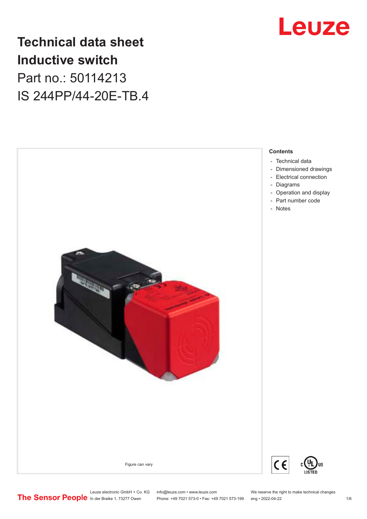

## **Technical data sheet Inductive switch** Part no.: 50114213 IS 244PP/44-20E-TB.4



Leuze electronic GmbH + Co. KG info@leuze.com • www.leuze.com We reserve the right to make technical changes<br>
The Sensor People in der Braike 1, 73277 Owen Phone: +49 7021 573-0 • Fax: +49 7021 573-199 eng • 2022-04-22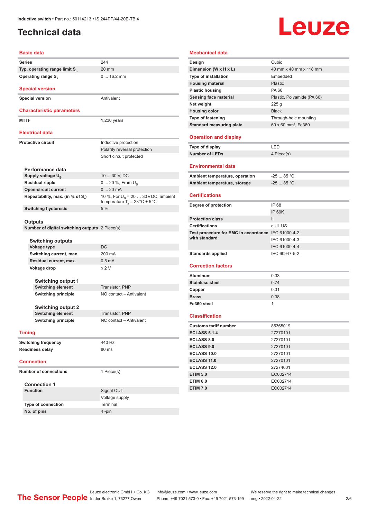### <span id="page-1-0"></span>**Technical data**

# Leuze

#### **Basic data**

| <b>Series</b>                             | 244             |
|-------------------------------------------|-----------------|
| Typ. operating range limit S <sub>n</sub> | 20 <sub>1</sub> |
| Operating range S <sub>3</sub>            |                 |

### **Special version**

**Special version** Antivalent

#### **Characteristic parameters**

**MTTF** 1,230 years

20 mm

0 ... 16.2 mm

#### **Electrical data**

**Protective circuit Inductive protection** 

#### Polarity reversal protection Short circuit protected

| Performance data                 |                                                                                           |
|----------------------------------|-------------------------------------------------------------------------------------------|
| Supply voltage $U_{\rm B}$       | 10  30 V, DC                                                                              |
| <b>Residual ripple</b>           | $0 20 \%$ , From $U_{\rm B}$                                                              |
| <b>Open-circuit current</b>      | $020$ mA                                                                                  |
| Repeatability, max. (in % of S.) | 10 %, For $U_p = 20$ 30 V DC, ambient<br>temperature $T_a = 23 \degree C \pm 5 \degree C$ |
| <b>Switching hysteresis</b>      | 5%                                                                                        |

#### **Outputs**

**Number of digital switching outputs** 2 Piece(s)

| <b>Switching outputs</b>   |                         |  |
|----------------------------|-------------------------|--|
| <b>Voltage type</b>        | DC.                     |  |
| Switching current, max.    | 200 mA                  |  |
| Residual current, max.     | $0.5 \text{ mA}$        |  |
| Voltage drop               | $\leq$ 2 V              |  |
| <b>Switching output 1</b>  |                         |  |
| <b>Switching element</b>   | <b>Transistor, PNP</b>  |  |
| <b>Switching principle</b> | NO contact - Antivalent |  |
| <b>Switching output 2</b>  |                         |  |

**Switching element** Transistor, PNP **Switching principle** NC contact – Antivalent

**Timing**

| <b>Switching frequency</b> | 440 Hz |
|----------------------------|--------|
| Readiness delay            | 80 ms  |

#### **Connection**

**Number of connections** 1 Piece(s)

#### **Connection 1**

| <b>Function</b>           | Signal OUT     |
|---------------------------|----------------|
|                           | Voltage supply |
| <b>Type of connection</b> | Terminal       |
| No. of pins               | $4 - pin$      |
|                           |                |

#### **Mechanical data**

| Design                                             | Cubic                           |
|----------------------------------------------------|---------------------------------|
| Dimension (W x H x L)                              | 40 mm x 40 mm x 118 mm          |
| <b>Type of installation</b>                        | Embedded                        |
| <b>Housing material</b>                            | Plastic                         |
| <b>Plastic housing</b>                             | PA 66                           |
| <b>Sensing face material</b>                       | Plastic, Polyamide (PA 66)      |
| Net weight                                         | 225g                            |
| <b>Housing color</b>                               | <b>Black</b>                    |
| Type of fastening                                  | Through-hole mounting           |
| <b>Standard measuring plate</b>                    | 60 x 60 mm <sup>2</sup> , Fe360 |
| <b>Operation and display</b>                       |                                 |
| Type of display                                    | LED                             |
| <b>Number of LEDs</b>                              | 4 Piece(s)                      |
| <b>Environmental data</b>                          |                                 |
| Ambient temperature, operation                     | $-25$ 85 °C                     |
| Ambient temperature, storage                       | $-2585 °C$                      |
|                                                    |                                 |
| <b>Certifications</b>                              |                                 |
| Degree of protection                               | IP 68                           |
|                                                    | <b>IP 69K</b>                   |
| <b>Protection class</b>                            | $\mathsf{II}$                   |
| <b>Certifications</b>                              | c UL US                         |
| Test procedure for EMC in accordance IEC 61000-4-2 |                                 |
| with standard                                      | IEC 61000-4-3                   |
|                                                    | IEC 61000-4-4                   |
| <b>Standards applied</b>                           | IEC 60947-5-2                   |
| <b>Correction factors</b>                          |                                 |
|                                                    |                                 |
| <b>Aluminum</b>                                    | 0.33                            |
| <b>Stainless steel</b>                             | 0.74                            |
| Copper                                             | 0.31                            |
| <b>Brass</b>                                       | 0.38                            |
| Fe360 steel                                        | 1                               |
| <b>Classification</b>                              |                                 |
| <b>Customs tariff number</b>                       | 85365019                        |
| <b>ECLASS 5.1.4</b>                                | 27270101                        |
| <b>ECLASS 8.0</b>                                  | 27270101                        |
| <b>ECLASS 9.0</b>                                  | 27270101                        |
| <b>ECLASS 10.0</b>                                 | 27270101                        |
|                                                    |                                 |
| <b>ECLASS 11.0</b>                                 | 27270101                        |
| <b>ECLASS 12.0</b>                                 | 27274001                        |
| <b>ETIM 5.0</b>                                    | EC002714                        |
| <b>ETIM 6.0</b>                                    | EC002714                        |
| <b>ETIM 7.0</b>                                    | EC002714                        |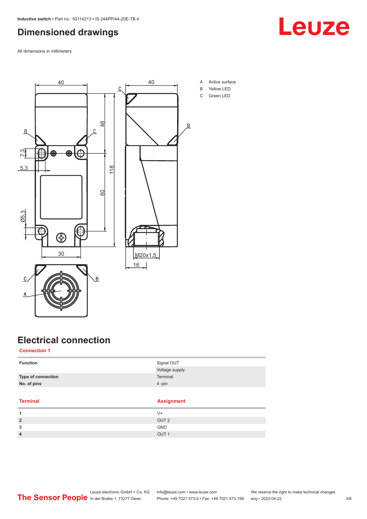### <span id="page-2-0"></span>**Dimensioned drawings**

All dimensions in millimeters



A Active surface

**Leuze** 

- B Yellow LED
- C Green LED

### **Electrical connection**

### **Connection 1**

| <b>Function</b>    | Signal OUT        |  |
|--------------------|-------------------|--|
|                    | Voltage supply    |  |
| Type of connection | Terminal          |  |
| No. of pins        | 4-pin             |  |
|                    |                   |  |
|                    |                   |  |
| <b>Terminal</b>    | <b>Assignment</b> |  |
| 1                  | $V +$             |  |
| $\overline{2}$     | OUT <sub>2</sub>  |  |
| 3                  | <b>GND</b>        |  |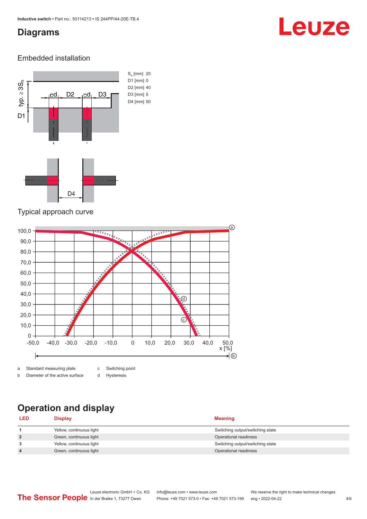### <span id="page-3-0"></span>**Diagrams**

## Leuze

### Embedded installation



### Typical approach curve



b Diameter of the active surface

d Hysteresis

### **Operation and display**

| <b>LED</b>     | Display                  | <b>Meaning</b>                   |
|----------------|--------------------------|----------------------------------|
|                | Yellow, continuous light | Switching output/switching state |
| $\overline{2}$ | Green, continuous light  | Operational readiness            |
| 3              | Yellow, continuous light | Switching output/switching state |
| 4              | Green, continuous light  | Operational readiness            |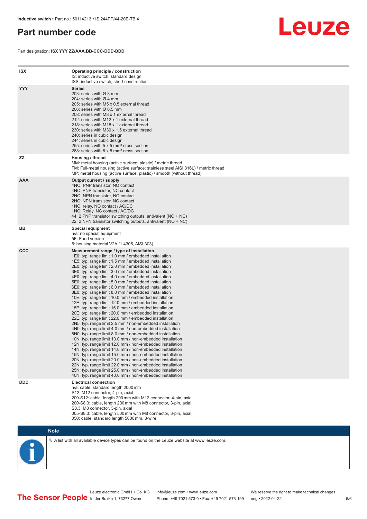### <span id="page-4-0"></span>**Part number code**

Part designation: **ISX YYY ZZ/AAA.BB-CCC-DDD-DDD**



| <b>ISX</b> | Operating principle / construction<br>IS: inductive switch, standard design<br>ISS: inductive switch, short construction                                                                                                                                                                                                                                                                                                                                                                                                                                                                                                                                                                                                                                                                                                                                                                                                                                                                                                                                                                                                                                                                                                                                                                                                                                                                                                                                                                          |
|------------|---------------------------------------------------------------------------------------------------------------------------------------------------------------------------------------------------------------------------------------------------------------------------------------------------------------------------------------------------------------------------------------------------------------------------------------------------------------------------------------------------------------------------------------------------------------------------------------------------------------------------------------------------------------------------------------------------------------------------------------------------------------------------------------------------------------------------------------------------------------------------------------------------------------------------------------------------------------------------------------------------------------------------------------------------------------------------------------------------------------------------------------------------------------------------------------------------------------------------------------------------------------------------------------------------------------------------------------------------------------------------------------------------------------------------------------------------------------------------------------------------|
| <b>YYY</b> | <b>Series</b><br>203: series with Ø 3 mm<br>204: series with $\varnothing$ 4 mm<br>205: series with M5 x 0.5 external thread<br>206: series with $\varnothing$ 6.5 mm<br>208: series with M8 x 1 external thread<br>212: series with M12 x 1 external thread<br>218: series with M18 x 1 external thread<br>230: series with M30 x 1.5 external thread<br>240: series in cubic design<br>244: series in cubic design<br>255: series with 5 x 5 mm <sup>2</sup> cross section<br>288: series with 8 x 8 mm <sup>2</sup> cross section                                                                                                                                                                                                                                                                                                                                                                                                                                                                                                                                                                                                                                                                                                                                                                                                                                                                                                                                                              |
| ZZ         | Housing / thread<br>MM: metal housing (active surface: plastic) / metric thread<br>FM: Full-metal housing (active surface: stainless steel AISI 316L) / metric thread<br>MP: metal housing (active surface: plastic) / smooth (without thread)                                                                                                                                                                                                                                                                                                                                                                                                                                                                                                                                                                                                                                                                                                                                                                                                                                                                                                                                                                                                                                                                                                                                                                                                                                                    |
| <b>AAA</b> | Output current / supply<br>4NO: PNP transistor, NO contact<br>4NC: PNP transistor, NC contact<br>2NO: NPN transistor, NO contact<br>2NC: NPN transistor, NC contact<br>1NO: relay, NO contact / AC/DC<br>1NC: Relay, NC contact / AC/DC<br>44: 2 PNP transistor switching outputs, antivalent (NO + NC)<br>22: 2 NPN transistor switching outputs, antivalent (NO + NC)                                                                                                                                                                                                                                                                                                                                                                                                                                                                                                                                                                                                                                                                                                                                                                                                                                                                                                                                                                                                                                                                                                                           |
| BB         | <b>Special equipment</b><br>n/a: no special equipment<br>5F: Food version<br>5: housing material V2A (1.4305, AISI 303)                                                                                                                                                                                                                                                                                                                                                                                                                                                                                                                                                                                                                                                                                                                                                                                                                                                                                                                                                                                                                                                                                                                                                                                                                                                                                                                                                                           |
| <b>CCC</b> | Measurement range / type of installation<br>1E0: typ. range limit 1.0 mm / embedded installation<br>1E5: typ. range limit 1.5 mm / embedded installation<br>2E0: typ. range limit 2.0 mm / embedded installation<br>3E0: typ. range limit 3.0 mm / embedded installation<br>4E0: typ. range limit 4.0 mm / embedded installation<br>5E0: typ. range limit 5.0 mm / embedded installation<br>6E0: typ. range limit 6.0 mm / embedded installation<br>8E0: typ. range limit 8.0 mm / embedded installation<br>10E: typ. range limit 10.0 mm / embedded installation<br>12E: typ. range limit 12.0 mm / embedded installation<br>15E: typ. range limit 15.0 mm / embedded installation<br>20E: typ. range limit 20.0 mm / embedded installation<br>22E: typ. range limit 22.0 mm / embedded installation<br>2N5: typ. range limit 2.5 mm / non-embedded installation<br>4N0: typ. range limit 4.0 mm / non-embedded installation<br>8NO: typ. range limit 8.0 mm / non-embedded installation<br>10N: typ. range limit 10.0 mm / non-embedded installation<br>12N: typ. range limit 12.0 mm / non-embedded installation<br>14N: typ. range limit 14.0 mm / non-embedded installation<br>15N: typ. range limit 15.0 mm / non-embedded installation<br>20N: typ. range limit 20.0 mm / non-embedded installation<br>22N: typ. range limit 22.0 mm / non-embedded installation<br>25N: typ. range limit 25.0 mm / non-embedded installation<br>40N: typ. range limit 40.0 mm / non-embedded installation |
| <b>DDD</b> | <b>Electrical connection</b><br>n/a: cable, standard length 2000 mm<br>S12: M12 connector, 4-pin, axial<br>200-S12: cable, length 200 mm with M12 connector, 4-pin, axial<br>200-S8.3: cable, length 200 mm with M8 connector, 3-pin, axial<br>S8.3: M8 connector, 3-pin, axial<br>005-S8.3: cable, length 500 mm with M8 connector, 3-pin, axial<br>050: cable, standard length 5000 mm, 3-wire                                                                                                                                                                                                                                                                                                                                                                                                                                                                                                                                                                                                                                                                                                                                                                                                                                                                                                                                                                                                                                                                                                  |

**Note**

 $\%$  A list with all available device types can be found on the Leuze website at www.leuze.com.

Leuze electronic GmbH + Co. KG info@leuze.com • www.leuze.com We reserve the right to make technical changes In der Braike 1, 73277 Owen Phone: +49 7021 573-0 • Fax: +49 7021 573-199 eng • 2022-04-22